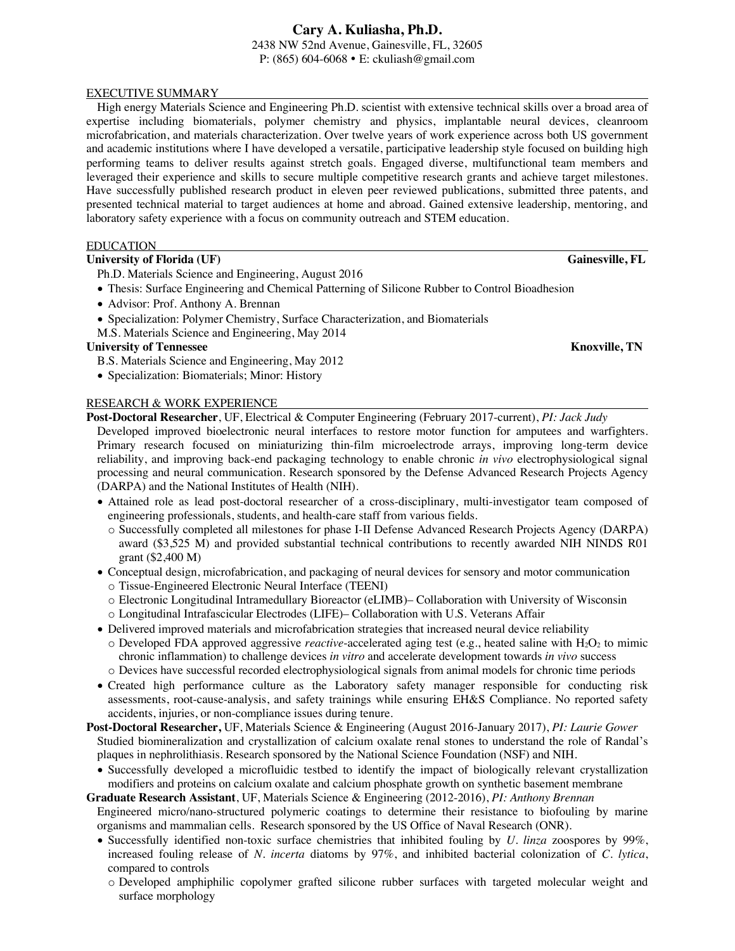2438 NW 52nd Avenue, Gainesville, FL, 32605 P: (865) 604-6068 E: ckuliash@gmail.com

### EXECUTIVE SUMMARY

High energy Materials Science and Engineering Ph.D. scientist with extensive technical skills over a broad area of expertise including biomaterials, polymer chemistry and physics, implantable neural devices, cleanroom microfabrication, and materials characterization. Over twelve years of work experience across both US government and academic institutions where I have developed a versatile, participative leadership style focused on building high performing teams to deliver results against stretch goals. Engaged diverse, multifunctional team members and leveraged their experience and skills to secure multiple competitive research grants and achieve target milestones. Have successfully published research product in eleven peer reviewed publications, submitted three patents, and presented technical material to target audiences at home and abroad. Gained extensive leadership, mentoring, and laboratory safety experience with a focus on community outreach and STEM education.

### EDUCATION

# **University of Florida** (UF) Gainesville, FL

- Ph.D. Materials Science and Engineering, August 2016
- Thesis: Surface Engineering and Chemical Patterning of Silicone Rubber to Control Bioadhesion
- Advisor: Prof. Anthony A. Brennan
- Specialization: Polymer Chemistry, Surface Characterization, and Biomaterials
- M.S. Materials Science and Engineering, May 2014

# **University of Tennessee Knoxville, TN**

- B.S. Materials Science and Engineering, May 2012
- Specialization: Biomaterials; Minor: History

### RESEARCH & WORK EXPERIENCE

**Post-Doctoral Researcher**, UF, Electrical & Computer Engineering (February 2017-current), *PI: Jack Judy*

- Developed improved bioelectronic neural interfaces to restore motor function for amputees and warfighters. Primary research focused on miniaturizing thin-film microelectrode arrays, improving long-term device reliability, and improving back-end packaging technology to enable chronic *in vivo* electrophysiological signal processing and neural communication. Research sponsored by the Defense Advanced Research Projects Agency (DARPA) and the National Institutes of Health (NIH).
- Attained role as lead post-doctoral researcher of a cross-disciplinary, multi-investigator team composed of engineering professionals, students, and health-care staff from various fields.
	- o Successfully completed all milestones for phase I-II Defense Advanced Research Projects Agency (DARPA) award (\$3,525 M) and provided substantial technical contributions to recently awarded NIH NINDS R01 grant (\$2,400 M)
- Conceptual design, microfabrication, and packaging of neural devices for sensory and motor communication o Tissue-Engineered Electronic Neural Interface (TEENI)
	- o Electronic Longitudinal Intramedullary Bioreactor (eLIMB)– Collaboration with University of Wisconsin
	- o Longitudinal Intrafascicular Electrodes (LIFE)– Collaboration with U.S. Veterans Affair
- Delivered improved materials and microfabrication strategies that increased neural device reliability
- $\circ$  Developed FDA approved aggressive *reactive*-accelerated aging test (e.g., heated saline with H<sub>2</sub>O<sub>2</sub> to mimic chronic inflammation) to challenge devices *in vitro* and accelerate development towards *in vivo* success
- o Devices have successful recorded electrophysiological signals from animal models for chronic time periods
- Created high performance culture as the Laboratory safety manager responsible for conducting risk assessments, root-cause-analysis, and safety trainings while ensuring EH&S Compliance. No reported safety accidents, injuries, or non-compliance issues during tenure.
- **Post-Doctoral Researcher,** UF, Materials Science & Engineering (August 2016-January 2017), *PI: Laurie Gower* Studied biomineralization and crystallization of calcium oxalate renal stones to understand the role of Randal's plaques in nephrolithiasis. Research sponsored by the National Science Foundation (NSF) and NIH.
	- Successfully developed a microfluidic testbed to identify the impact of biologically relevant crystallization modifiers and proteins on calcium oxalate and calcium phosphate growth on synthetic basement membrane
- **Graduate Research Assistant**, UF, Materials Science & Engineering (2012-2016), *PI: Anthony Brennan* Engineered micro/nano-structured polymeric coatings to determine their resistance to biofouling by marine organisms and mammalian cells. Research sponsored by the US Office of Naval Research (ONR).
	- Successfully identified non-toxic surface chemistries that inhibited fouling by *U. linza* zoospores by 99%, increased fouling release of *N. incerta* diatoms by 97%, and inhibited bacterial colonization of *C. lytica*, compared to controls
		- o Developed amphiphilic copolymer grafted silicone rubber surfaces with targeted molecular weight and surface morphology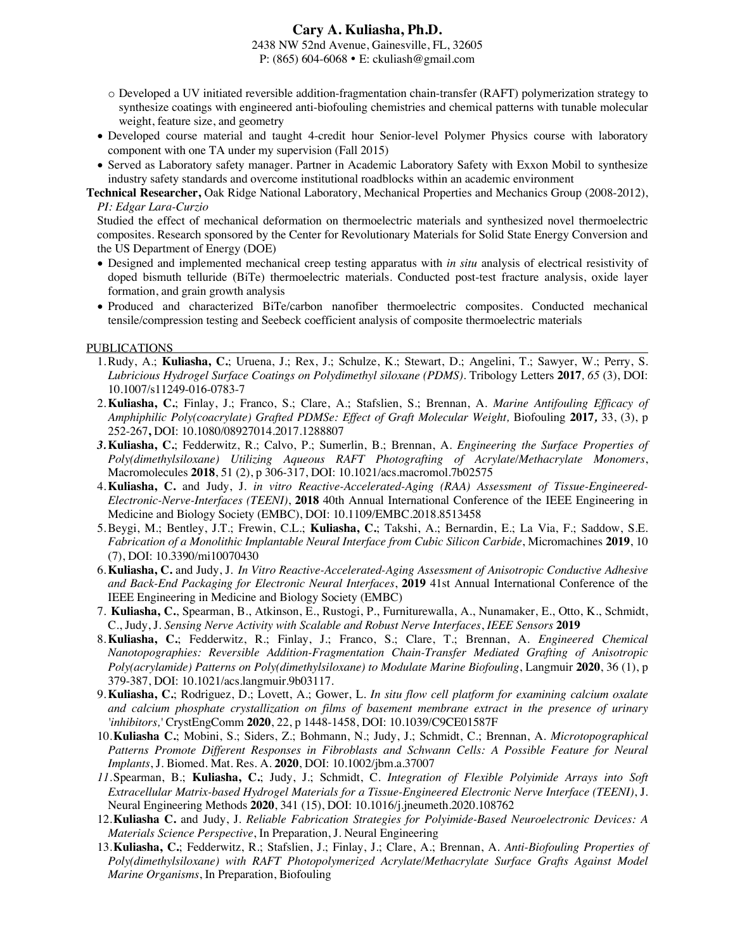2438 NW 52nd Avenue, Gainesville, FL, 32605 P: (865) 604-6068 E: ckuliash@gmail.com

- o Developed a UV initiated reversible addition-fragmentation chain-transfer (RAFT) polymerization strategy to synthesize coatings with engineered anti-biofouling chemistries and chemical patterns with tunable molecular weight, feature size, and geometry
- Developed course material and taught 4-credit hour Senior-level Polymer Physics course with laboratory component with one TA under my supervision (Fall 2015)
- Served as Laboratory safety manager. Partner in Academic Laboratory Safety with Exxon Mobil to synthesize industry safety standards and overcome institutional roadblocks within an academic environment

**Technical Researcher,** Oak Ridge National Laboratory, Mechanical Properties and Mechanics Group (2008-2012), *PI: Edgar Lara-Curzio*

Studied the effect of mechanical deformation on thermoelectric materials and synthesized novel thermoelectric composites. Research sponsored by the Center for Revolutionary Materials for Solid State Energy Conversion and the US Department of Energy (DOE)

- Designed and implemented mechanical creep testing apparatus with *in situ* analysis of electrical resistivity of doped bismuth telluride (BiTe) thermoelectric materials. Conducted post-test fracture analysis, oxide layer formation, and grain growth analysis
- Produced and characterized BiTe/carbon nanofiber thermoelectric composites. Conducted mechanical tensile/compression testing and Seebeck coefficient analysis of composite thermoelectric materials

#### PUBLICATIONS

- 1.Rudy, A.; **Kuliasha, C.**; Uruena, J.; Rex, J.; Schulze, K.; Stewart, D.; Angelini, T.; Sawyer, W.; Perry, S. *Lubricious Hydrogel Surface Coatings on Polydimethyl siloxane (PDMS).* Tribology Letters **2017***, 65* (3), DOI: 10.1007/s11249-016-0783-7
- 2.**Kuliasha, C.**; Finlay, J.; Franco, S.; Clare, A.; Stafslien, S.; Brennan, A. *Marine Antifouling Efficacy of Amphiphilic Poly(coacrylate) Grafted PDMSe: Effect of Graft Molecular Weight,* Biofouling **2017***,* 33, (3), p 252-267**,** DOI: 10.1080/08927014.2017.1288807
- *3.***Kuliasha, C.**; Fedderwitz, R.; Calvo, P.; Sumerlin, B.; Brennan, A. *Engineering the Surface Properties of Poly(dimethylsiloxane) Utilizing Aqueous RAFT Photografting of Acrylate/Methacrylate Monomers*, Macromolecules **2018**, 51 (2), p 306-317, DOI: 10.1021/acs.macromol.7b02575
- 4.**Kuliasha, C.** and Judy, J. *in vitro Reactive-Accelerated-Aging (RAA) Assessment of Tissue-Engineered-Electronic-Nerve-Interfaces (TEENI)*, **2018** 40th Annual International Conference of the IEEE Engineering in Medicine and Biology Society (EMBC), DOI: 10.1109/EMBC.2018.8513458
- 5.Beygi, M.; Bentley, J.T.; Frewin, C.L.; **Kuliasha, C.**; Takshi, A.; Bernardin, E.; La Via, F.; Saddow, S.E. *Fabrication of a Monolithic Implantable Neural Interface from Cubic Silicon Carbide*, Micromachines **2019**, 10 (7), DOI: 10.3390/mi10070430
- 6.**Kuliasha, C.** and Judy, J. *In Vitro Reactive-Accelerated-Aging Assessment of Anisotropic Conductive Adhesive and Back-End Packaging for Electronic Neural Interfaces*, **2019** 41st Annual International Conference of the IEEE Engineering in Medicine and Biology Society (EMBC)
- 7. **Kuliasha, C.**, Spearman, B., Atkinson, E., Rustogi, P., Furniturewalla, A., Nunamaker, E., Otto, K., Schmidt, C., Judy, J. *Sensing Nerve Activity with Scalable and Robust Nerve Interfaces*, *IEEE Sensors* **2019**
- 8.**Kuliasha, C.**; Fedderwitz, R.; Finlay, J.; Franco, S.; Clare, T.; Brennan, A. *Engineered Chemical Nanotopographies: Reversible Addition-Fragmentation Chain-Transfer Mediated Grafting of Anisotropic Poly(acrylamide) Patterns on Poly(dimethylsiloxane) to Modulate Marine Biofouling*, Langmuir **2020**, 36 (1), p 379-387, DOI: 10.1021/acs.langmuir.9b03117.
- 9.**Kuliasha, C.**; Rodriguez, D.; Lovett, A.; Gower, L. *In situ flow cell platform for examining calcium oxalate and calcium phosphate crystallization on films of basement membrane extract in the presence of urinary 'inhibitors,'* CrystEngComm **2020**, 22, p 1448-1458, DOI: 10.1039/C9CE01587F
- 10.**Kuliasha C.**; Mobini, S.; Siders, Z.; Bohmann, N.; Judy, J.; Schmidt, C.; Brennan, A. *Microtopographical Patterns Promote Different Responses in Fibroblasts and Schwann Cells: A Possible Feature for Neural Implants*, J. Biomed. Mat. Res. A. **2020**, DOI: 10.1002/jbm.a.37007
- *11.*Spearman, B.; **Kuliasha, C.**; Judy, J.; Schmidt, C. *Integration of Flexible Polyimide Arrays into Soft Extracellular Matrix-based Hydrogel Materials for a Tissue-Engineered Electronic Nerve Interface (TEENI)*, J. Neural Engineering Methods **2020**, 341 (15), DOI: 10.1016/j.jneumeth.2020.108762
- 12.**Kuliasha C.** and Judy, J. *Reliable Fabrication Strategies for Polyimide-Based Neuroelectronic Devices: A Materials Science Perspective*, In Preparation, J. Neural Engineering
- 13.**Kuliasha, C.**; Fedderwitz, R.; Stafslien, J.; Finlay, J.; Clare, A.; Brennan, A. *Anti-Biofouling Properties of Poly(dimethylsiloxane) with RAFT Photopolymerized Acrylate/Methacrylate Surface Grafts Against Model Marine Organisms*, In Preparation, Biofouling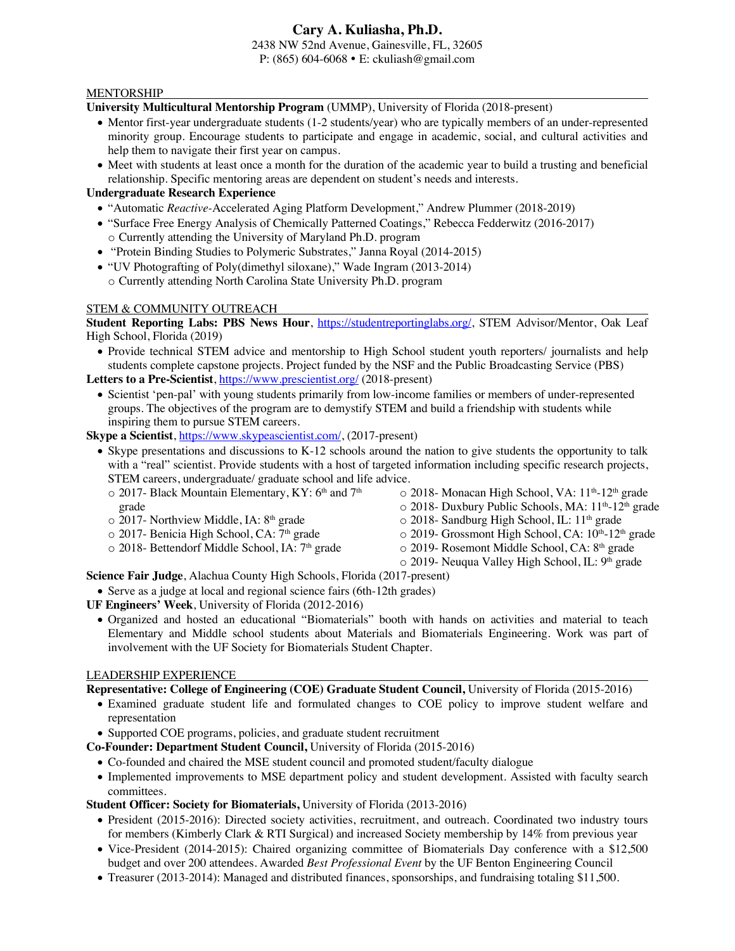2438 NW 52nd Avenue, Gainesville, FL, 32605 P: (865) 604-6068 E: ckuliash@gmail.com

## MENTORSHIP

**University Multicultural Mentorship Program** (UMMP), University of Florida (2018-present)

- Mentor first-year undergraduate students (1-2 students/year) who are typically members of an under-represented minority group. Encourage students to participate and engage in academic, social, and cultural activities and help them to navigate their first year on campus.
- Meet with students at least once a month for the duration of the academic year to build a trusting and beneficial relationship. Specific mentoring areas are dependent on student's needs and interests.

# **Undergraduate Research Experience**

- "Automatic *Reactive-*Accelerated Aging Platform Development," Andrew Plummer (2018-2019)
- "Surface Free Energy Analysis of Chemically Patterned Coatings," Rebecca Fedderwitz (2016-2017) o Currently attending the University of Maryland Ph.D. program
- "Protein Binding Studies to Polymeric Substrates," Janna Royal (2014-2015)
- "UV Photografting of Poly(dimethyl siloxane)," Wade Ingram (2013-2014) o Currently attending North Carolina State University Ph.D. program

# STEM & COMMUNITY OUTREACH

**Student Reporting Labs: PBS News Hour**, https://studentreportinglabs.org/, STEM Advisor/Mentor, Oak Leaf High School, Florida (2019)

- Provide technical STEM advice and mentorship to High School student youth reporters/ journalists and help students complete capstone projects. Project funded by the NSF and the Public Broadcasting Service (PBS) Letters to a Pre-Scientist, https://www.prescientist.org/ (2018-present)
	- Scientist 'pen-pal' with young students primarily from low-income families or members of under-represented groups. The objectives of the program are to demystify STEM and build a friendship with students while inspiring them to pursue STEM careers.

**Skype a Scientist**, https://www.skypeascientist.com/, (2017-present)

- Skype presentations and discussions to K-12 schools around the nation to give students the opportunity to talk with a "real" scientist. Provide students with a host of targeted information including specific research projects, STEM careers, undergraduate/ graduate school and life advice.
	- $\circ$  2017- Black Mountain Elementary, KY: 6<sup>th</sup> and 7<sup>th</sup> grade
	- o 2017- Northview Middle, IA: 8th grade
	- o 2017- Benicia High School, CA: 7<sup>th</sup> grade
	- o 2018- Bettendorf Middle School, IA: 7<sup>th</sup> grade
- $\circ$  2018- Monacan High School, VA:  $11<sup>th</sup>$ -12<sup>th</sup> grade
- o 2018- Duxbury Public Schools, MA: 11<sup>th</sup>-12<sup>th</sup> grade
- o 2018- Sandburg High School, IL: 11<sup>th</sup> grade
- o 2019- Grossmont High School, CA:  $10^{th}$ -12<sup>th</sup> grade
- o 2019- Rosemont Middle School, CA: 8th grade
	- o 2019- Neuqua Valley High School, IL: 9<sup>th</sup> grade

**Science Fair Judge**, Alachua County High Schools, Florida (2017-present)

- Serve as a judge at local and regional science fairs (6th-12th grades)
- **UF Engineers' Week**, University of Florida (2012-2016)
	- Organized and hosted an educational "Biomaterials" booth with hands on activities and material to teach Elementary and Middle school students about Materials and Biomaterials Engineering. Work was part of involvement with the UF Society for Biomaterials Student Chapter.

# LEADERSHIP EXPERIENCE

**Representative: College of Engineering (COE) Graduate Student Council,** University of Florida (2015-2016)

- Examined graduate student life and formulated changes to COE policy to improve student welfare and representation
- Supported COE programs, policies, and graduate student recruitment
- **Co-Founder: Department Student Council,** University of Florida (2015-2016)
	- Co-founded and chaired the MSE student council and promoted student/faculty dialogue
	- Implemented improvements to MSE department policy and student development. Assisted with faculty search committees.

**Student Officer: Society for Biomaterials,** University of Florida (2013-2016)

- President (2015-2016): Directed society activities, recruitment, and outreach. Coordinated two industry tours for members (Kimberly Clark & RTI Surgical) and increased Society membership by 14% from previous year
- Vice-President (2014-2015): Chaired organizing committee of Biomaterials Day conference with a \$12,500 budget and over 200 attendees. Awarded *Best Professional Event* by the UF Benton Engineering Council
- Treasurer (2013-2014): Managed and distributed finances, sponsorships, and fundraising totaling \$11,500.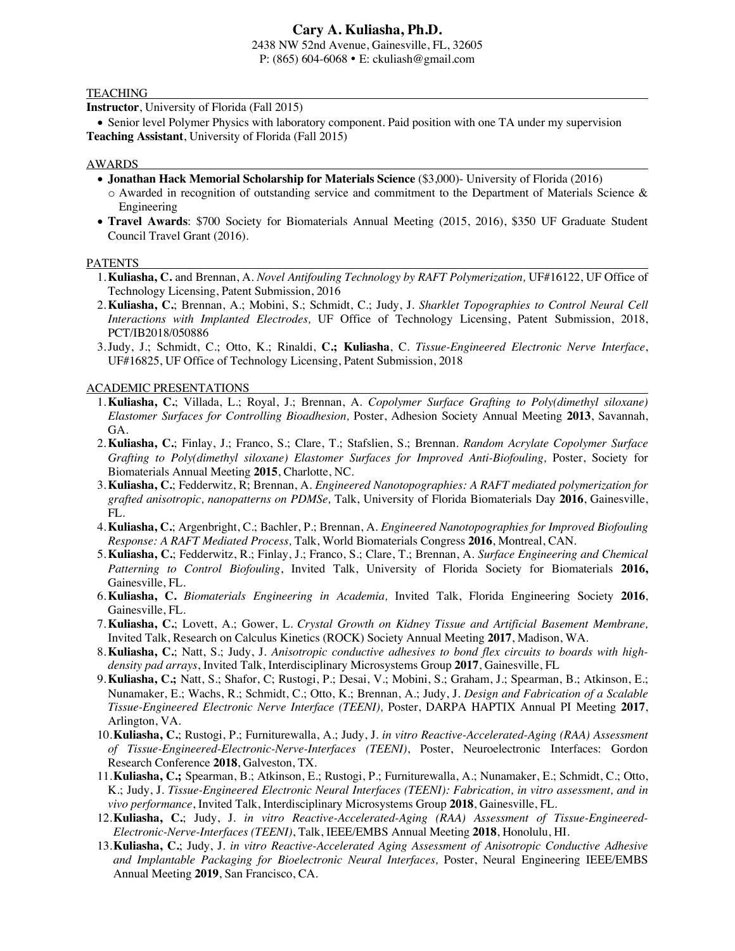2438 NW 52nd Avenue, Gainesville, FL, 32605 P: (865) 604-6068 E: ckuliash@gmail.com

#### **TEACHING**

**Instructor**, University of Florida (Fall 2015)

• Senior level Polymer Physics with laboratory component. Paid position with one TA under my supervision **Teaching Assistant**, University of Florida (Fall 2015)

#### AWARDS

- **Jonathan Hack Memorial Scholarship for Materials Science** (\$3,000)- University of Florida (2016) o Awarded in recognition of outstanding service and commitment to the Department of Materials Science & Engineering
- **Travel Awards**: \$700 Society for Biomaterials Annual Meeting (2015, 2016), \$350 UF Graduate Student Council Travel Grant (2016).

#### **PATENTS**

- 1.**Kuliasha, C.** and Brennan, A. *Novel Antifouling Technology by RAFT Polymerization,* UF#16122, UF Office of Technology Licensing, Patent Submission, 2016
- 2.**Kuliasha, C.**; Brennan, A.; Mobini, S.; Schmidt, C.; Judy, J. *Sharklet Topographies to Control Neural Cell Interactions with Implanted Electrodes,* UF Office of Technology Licensing, Patent Submission, 2018, PCT/IB2018/050886
- 3.Judy, J.; Schmidt, C.; Otto, K.; Rinaldi, **C.; Kuliasha**, C. *Tissue-Engineered Electronic Nerve Interface*, UF#16825, UF Office of Technology Licensing, Patent Submission, 2018

ACADEMIC PRESENTATIONS

- 1.**Kuliasha, C.**; Villada, L.; Royal, J.; Brennan, A. *Copolymer Surface Grafting to Poly(dimethyl siloxane) Elastomer Surfaces for Controlling Bioadhesion,* Poster, Adhesion Society Annual Meeting **2013**, Savannah, GA.
- 2.**Kuliasha, C.**; Finlay, J.; Franco, S.; Clare, T.; Stafslien, S.; Brennan. *Random Acrylate Copolymer Surface Grafting to Poly(dimethyl siloxane) Elastomer Surfaces for Improved Anti-Biofouling, Poster, Society for* Biomaterials Annual Meeting **2015**, Charlotte, NC.
- 3.**Kuliasha, C.**; Fedderwitz, R; Brennan, A. *Engineered Nanotopographies: A RAFT mediated polymerization for grafted anisotropic, nanopatterns on PDMSe,* Talk, University of Florida Biomaterials Day **2016**, Gainesville, FL.
- 4.**Kuliasha, C.**; Argenbright, C.; Bachler, P.; Brennan, A. *Engineered Nanotopographies for Improved Biofouling Response: A RAFT Mediated Process,* Talk, World Biomaterials Congress **2016**, Montreal, CAN.
- 5.**Kuliasha, C.**; Fedderwitz, R.; Finlay, J.; Franco, S.; Clare, T.; Brennan, A. *Surface Engineering and Chemical Patterning to Control Biofouling*, Invited Talk, University of Florida Society for Biomaterials **2016,**  Gainesville, FL.
- 6.**Kuliasha, C.** *Biomaterials Engineering in Academia,* Invited Talk, Florida Engineering Society **2016**, Gainesville, FL.
- 7.**Kuliasha, C.**; Lovett, A.; Gower, L. *Crystal Growth on Kidney Tissue and Artificial Basement Membrane,*  Invited Talk, Research on Calculus Kinetics (ROCK) Society Annual Meeting **2017**, Madison, WA.
- 8.**Kuliasha, C.**; Natt, S.; Judy, J. *Anisotropic conductive adhesives to bond flex circuits to boards with highdensity pad arrays*, Invited Talk, Interdisciplinary Microsystems Group **2017**, Gainesville, FL
- 9.**Kuliasha, C.;** Natt, S.; Shafor, C; Rustogi, P.; Desai, V.; Mobini, S.; Graham, J.; Spearman, B.; Atkinson, E.; Nunamaker, E.; Wachs, R.; Schmidt, C.; Otto, K.; Brennan, A.; Judy, J. *Design and Fabrication of a Scalable Tissue-Engineered Electronic Nerve Interface (TEENI),* Poster, DARPA HAPTIX Annual PI Meeting **2017**, Arlington, VA.
- 10.**Kuliasha, C.**; Rustogi, P.; Furniturewalla, A.; Judy, J. *in vitro Reactive-Accelerated-Aging (RAA) Assessment of Tissue-Engineered-Electronic-Nerve-Interfaces (TEENI)*, Poster, Neuroelectronic Interfaces: Gordon Research Conference **2018**, Galveston, TX.
- 11.**Kuliasha, C.;** Spearman, B.; Atkinson, E.; Rustogi, P.; Furniturewalla, A.; Nunamaker, E.; Schmidt, C.; Otto, K.; Judy, J. *Tissue-Engineered Electronic Neural Interfaces (TEENI): Fabrication, in vitro assessment, and in vivo performance*, Invited Talk, Interdisciplinary Microsystems Group **2018**, Gainesville, FL.
- 12.**Kuliasha, C.**; Judy, J. *in vitro Reactive-Accelerated-Aging (RAA) Assessment of Tissue-Engineered-Electronic-Nerve-Interfaces (TEENI)*, Talk, IEEE/EMBS Annual Meeting **2018**, Honolulu, HI.
- 13.**Kuliasha, C.**; Judy, J. *in vitro Reactive-Accelerated Aging Assessment of Anisotropic Conductive Adhesive and Implantable Packaging for Bioelectronic Neural Interfaces,* Poster, Neural Engineering IEEE/EMBS Annual Meeting **2019**, San Francisco, CA.